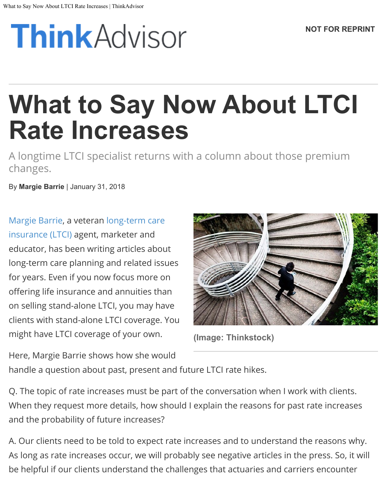# **ThinkAdvisor**

## **What to Say Now About LTCI Rate Increases**

A longtime LTCI specialist returns with a column about those premium changes.

By **Margie Barrie** | January 31, 2018

[Margie Barrie](http://www.thinkadvisor.com/author/margie-barrie), a veteran [long-term care](http://www.thinkadvisor.com/tag/ltci) [insurance \(LTCI\)](http://www.thinkadvisor.com/tag/ltci) agent, marketer and educator, has been writing articles about long-term care planning and related issues for years. Even if you now focus more on offering life insurance and annuities than on selling stand-alone LTCI, you may have clients with stand-alone LTCI coverage. You might have LTCI coverage of your own.



**(Image: Thinkstock)**

Here, Margie Barrie shows how she would handle a question about past, present and future LTCI rate hikes.

Q. The topic of rate increases must be part of the conversation when I work with clients. When they request more details, how should I explain the reasons for past rate increases and the probability of future increases?

A. Our clients need to be told to expect rate increases and to understand the reasons why. As long as rate increases occur, we will probably see negative articles in the press. So, it will be helpful if our clients understand the challenges that actuaries and carriers encounter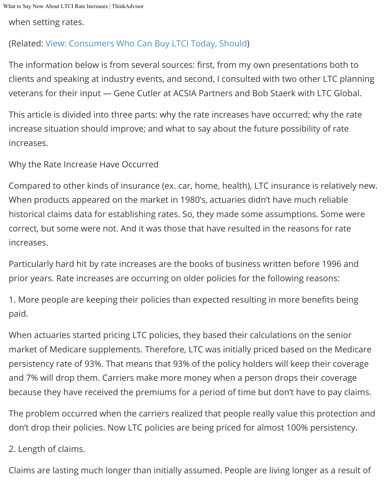What to Say Now About LTCI Rate Increases | ThinkAdvisor

when setting rates.

### (Related: [View: Consumers Who Can Buy LTCI Today, Should](http://www.thinkadvisor.com/2016/11/16/view-consumers-who-can-buy-ltci-today-should))

The information below is from several sources: first, from my own presentations both to clients and speaking at industry events, and second, I consulted with two other LTC planning veterans for their input — Gene Cutler at ACSIA Partners and Bob Staerk with LTC Global.

This article is divided into three parts: why the rate increases have occurred; why the rate increase situation should improve; and what to say about the future possibility of rate increases.

Why the Rate Increase Have Occurred

Compared to other kinds of insurance (ex. car, home, health), LTC insurance is relatively new. When products appeared on the market in 1980's, actuaries didn't have much reliable historical claims data for establishing rates. So, they made some assumptions. Some were correct, but some were not. And it was those that have resulted in the reasons for rate increases.

Particularly hard hit by rate increases are the books of business written before 1996 and prior years. Rate increases are occurring on older policies for the following reasons:

1. More people are keeping their policies than expected resulting in more benefits being paid.

When actuaries started pricing LTC policies, they based their calculations on the senior market of Medicare supplements. Therefore, LTC was initially priced based on the Medicare persistency rate of 93%. That means that 93% of the policy holders will keep their coverage and 7% will drop them. Carriers make more money when a person drops their coverage because they have received the premiums for a period of time but don't have to pay claims.

The problem occurred when the carriers realized that people really value this protection and don't drop their policies. Now LTC policies are being priced for almost 100% persistency.

#### 2. Length of claims.

Claims are lasting much longer than initially assumed. People are living longer as a result of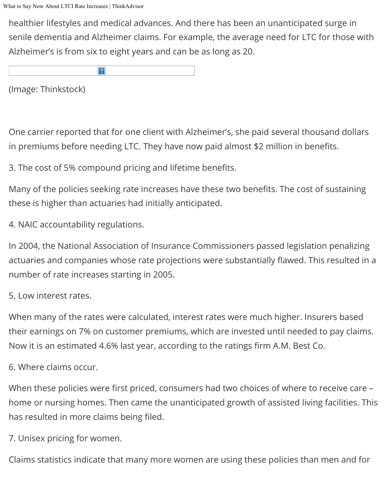healthier lifestyles and medical advances. And there has been an unanticipated surge in senile dementia and Alzheimer claims. For example, the average need for LTC for those with Alzheimer's is from six to eight years and can be as long as 20.

 $|2|$ 

(Image: Thinkstock)

One carrier reported that for one client with Alzheimer's, she paid several thousand dollars in premiums before needing LTC. They have now paid almost \$2 million in benefits.

3. The cost of 5% compound pricing and lifetime benefits.

Many of the policies seeking rate increases have these two benefits. The cost of sustaining these is higher than actuaries had initially anticipated.

4. NAIC accountability regulations.

In 2004, the National Association of Insurance Commissioners passed legislation penalizing actuaries and companies whose rate projections were substantially flawed. This resulted in a number of rate increases starting in 2005.

5. Low interest rates.

When many of the rates were calculated, interest rates were much higher. Insurers based their earnings on 7% on customer premiums, which are invested until needed to pay claims. Now it is an estimated 4.6% last year, according to the ratings firm A.M. Best Co.

#### 6. Where claims occur.

When these policies were first priced, consumers had two choices of where to receive care home or nursing homes. Then came the unanticipated growth of assisted living facilities. This has resulted in more claims being filed.

7. Unisex pricing for women.

Claims statistics indicate that many more women are using these policies than men and for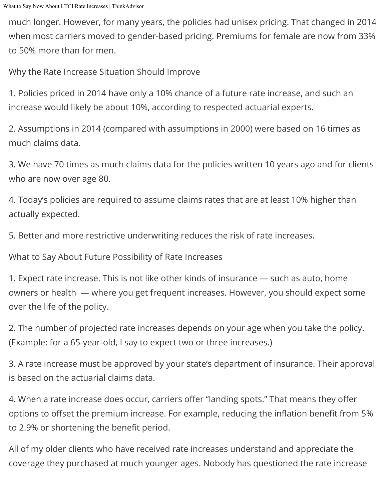much longer. However, for many years, the policies had unisex pricing. That changed in 2014 when most carriers moved to gender-based pricing. Premiums for female are now from 33% to 50% more than for men.

Why the Rate Increase Situation Should Improve

1. Policies priced in 2014 have only a 10% chance of a future rate increase, and such an increase would likely be about 10%, according to respected actuarial experts.

2. Assumptions in 2014 (compared with assumptions in 2000) were based on 16 times as much claims data.

3. We have 70 times as much claims data for the policies written 10 years ago and for clients who are now over age 80.

4. Today's policies are required to assume claims rates that are at least 10% higher than actually expected.

5. Better and more restrictive underwriting reduces the risk of rate increases.

What to Say About Future Possibility of Rate Increases

1. Expect rate increase. This is not like other kinds of insurance — such as auto, home owners or health — where you get frequent increases. However, you should expect some over the life of the policy.

2. The number of projected rate increases depends on your age when you take the policy. (Example: for a 65-year-old, I say to expect two or three increases.)

3. A rate increase must be approved by your state's department of insurance. Their approval is based on the actuarial claims data.

4. When a rate increase does occur, carriers offer "landing spots." That means they offer options to offset the premium increase. For example, reducing the inflation benefit from 5% to 2.9% or shortening the benefit period.

All of my older clients who have received rate increases understand and appreciate the coverage they purchased at much younger ages. Nobody has questioned the rate increase